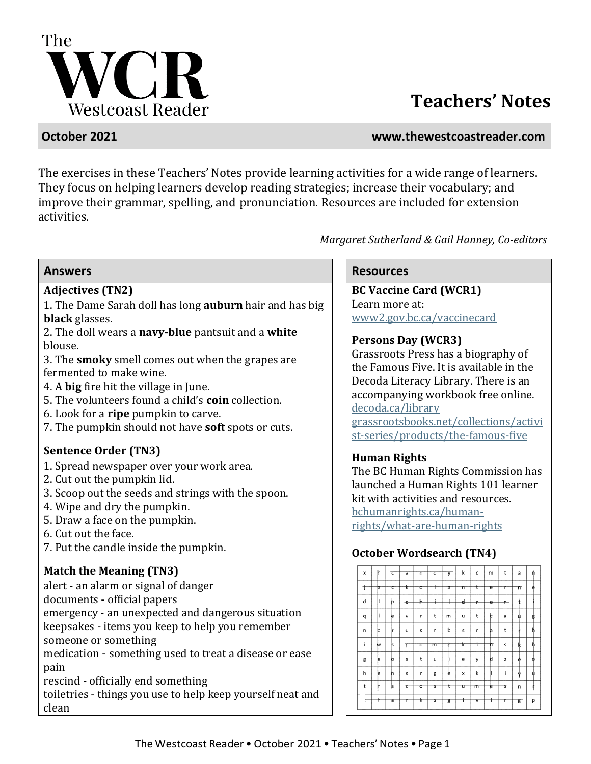

# **Teachers' Notes**

### **October 2021 www.thewestcoastreader.com**

The exercises in these Teachers' Notes provide learning activities for a wide range of learners. They focus on helping learners develop reading strategies; increase their vocabulary; and improve their grammar, spelling, and pronunciation. Resources are included for extension activities.

*Margaret Sutherland & Gail Hanney, Co-editors*

1. The Dame Sarah doll has long **auburn** hair and has big **black** glasses.

2. The doll wears a **navy-blue** pantsuit and a **white** blouse.

3. The **smoky** smell comes out when the grapes are fermented to make wine.

- 4. A **big** fire hit the village in June.
- 5. The volunteers found a child's **coin** collection.
- 6. Look for a **ripe** pumpkin to carve.
- 7. The pumpkin should not have **soft** spots or cuts.

### **Sentence Order (TN3)**

- 1. Spread newspaper over your work area.
- 2. Cut out the pumpkin lid.
- 3. Scoop out the seeds and strings with the spoon.
- 4. Wipe and dry the pumpkin.
- 5. Draw a face on the pumpkin.
- 6. Cut out the face.
- 7. Put the candle inside the pumpkin.

## **Match the Meaning (TN3)**

alert - an alarm or signal of danger

documents - official papers

emergency - an unexpected and dangerous situation

keepsakes - items you keep to help you remember

someone or something

medication - something used to treat a disease or ease pain

rescind - officially end something

toiletries - things you use to help keep yourself neat and clean

### **Answers Resources**

Adjectives (TN2) **BC Vaccine Card (WCR1)** Learn more at: www2.gov.bc.ca/vaccinecard

## **Persons Day (WCR3)**

Grassroots Press has a biography of the Famous Five. It is available in the Decoda Literacy Library. There is an accompanying workbook free online. [decoda.ca/library](https://decoda.ca/library/) [grassrootsbooks.net/collections/activi](https://grassrootsbooks.net/collections/activist-series/products/the-famous-five) [st-series/products/the-famous-five](https://grassrootsbooks.net/collections/activist-series/products/the-famous-five)

## **Human Rights**

The BC Human Rights Commission has launched a Human Rights 101 learner kit with activities and resources. [bchumanrights.ca/human-](https://bchumanrights.ca/human-rights/what-are-human-rights/)

[rights/what-are-human-rights](https://bchumanrights.ca/human-rights/what-are-human-rights/)

## **October Wordsearch (TN4)**

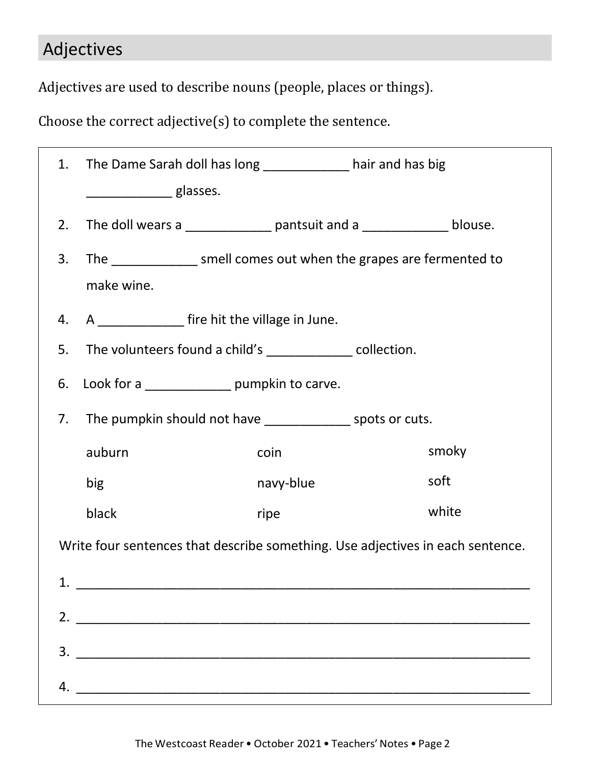# Adjectives

Adjectives are used to describe nouns (people, places or things).

Choose the correct adjective(s) to complete the sentence.

| 1.                                                                             | The Dame Sarah doll has long ______________ hair and has big             |           |       |  |  |  |  |  |
|--------------------------------------------------------------------------------|--------------------------------------------------------------------------|-----------|-------|--|--|--|--|--|
|                                                                                | glasses.                                                                 |           |       |  |  |  |  |  |
| 2.                                                                             | The doll wears a ________________ pantsuit and a _______________ blouse. |           |       |  |  |  |  |  |
| 3.                                                                             | The ________________ smell comes out when the grapes are fermented to    |           |       |  |  |  |  |  |
|                                                                                | make wine.                                                               |           |       |  |  |  |  |  |
| 4.                                                                             | A ________________ fire hit the village in June.                         |           |       |  |  |  |  |  |
| 5.                                                                             | The volunteers found a child's _______________ collection.               |           |       |  |  |  |  |  |
| 6.                                                                             |                                                                          |           |       |  |  |  |  |  |
| 7.                                                                             |                                                                          |           |       |  |  |  |  |  |
|                                                                                | auburn                                                                   | coin      | smoky |  |  |  |  |  |
|                                                                                | big                                                                      | navy-blue | soft  |  |  |  |  |  |
|                                                                                | black                                                                    | ripe      | white |  |  |  |  |  |
| Write four sentences that describe something. Use adjectives in each sentence. |                                                                          |           |       |  |  |  |  |  |
|                                                                                |                                                                          |           |       |  |  |  |  |  |
|                                                                                |                                                                          |           |       |  |  |  |  |  |
|                                                                                | $\overline{\mathbf{3.}}$                                                 |           |       |  |  |  |  |  |
|                                                                                |                                                                          |           |       |  |  |  |  |  |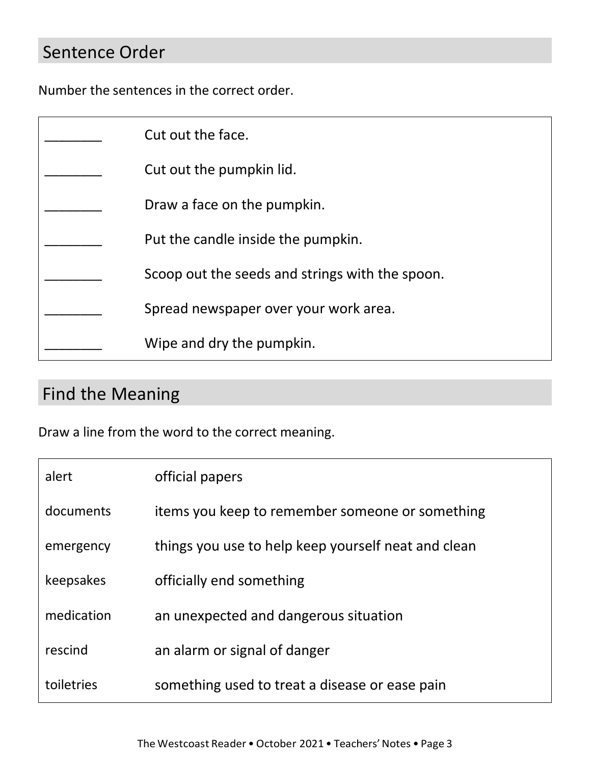## Sentence Order

Number the sentences in the correct order.

| Cut out the face.                               |
|-------------------------------------------------|
| Cut out the pumpkin lid.                        |
| Draw a face on the pumpkin.                     |
| Put the candle inside the pumpkin.              |
| Scoop out the seeds and strings with the spoon. |
| Spread newspaper over your work area.           |
| Wipe and dry the pumpkin.                       |

# Find the Meaning

Draw a line from the word to the correct meaning.

| alert      | official papers                                     |
|------------|-----------------------------------------------------|
| documents  | items you keep to remember someone or something     |
| emergency  | things you use to help keep yourself neat and clean |
| keepsakes  | officially end something                            |
| medication | an unexpected and dangerous situation               |
| rescind    | an alarm or signal of danger                        |
| toiletries | something used to treat a disease or ease pain      |